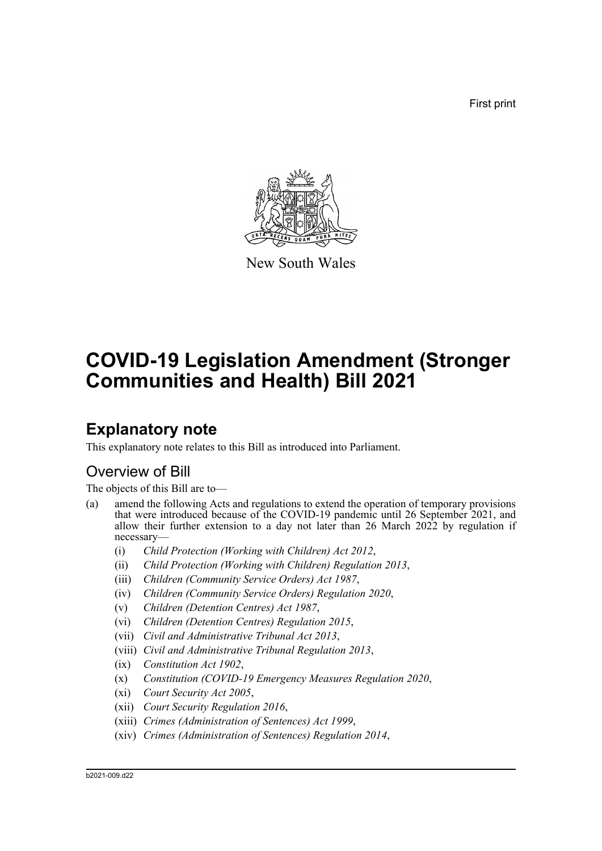First print



New South Wales

# **COVID-19 Legislation Amendment (Stronger Communities and Health) Bill 2021**

## **Explanatory note**

This explanatory note relates to this Bill as introduced into Parliament.

## Overview of Bill

The objects of this Bill are to—

- (a) amend the following Acts and regulations to extend the operation of temporary provisions that were introduced because of the COVID-19 pandemic until 26 September 2021, and allow their further extension to a day not later than 26 March 2022 by regulation if necessary—
	- (i) *Child Protection (Working with Children) Act 2012*,
	- (ii) *Child Protection (Working with Children) Regulation 2013*,
	- (iii) *Children (Community Service Orders) Act 1987*,
	- (iv) *Children (Community Service Orders) Regulation 2020*,
	- (v) *Children (Detention Centres) Act 1987*,
	- (vi) *Children (Detention Centres) Regulation 2015*,
	- (vii) *Civil and Administrative Tribunal Act 2013*,
	- (viii) *Civil and Administrative Tribunal Regulation 2013*,
	- (ix) *Constitution Act 1902*,
	- (x) *Constitution (COVID-19 Emergency Measures Regulation 2020*,
	- (xi) *Court Security Act 2005*,
	- (xii) *Court Security Regulation 2016*,
	- (xiii) *Crimes (Administration of Sentences) Act 1999*,
	- (xiv) *Crimes (Administration of Sentences) Regulation 2014*,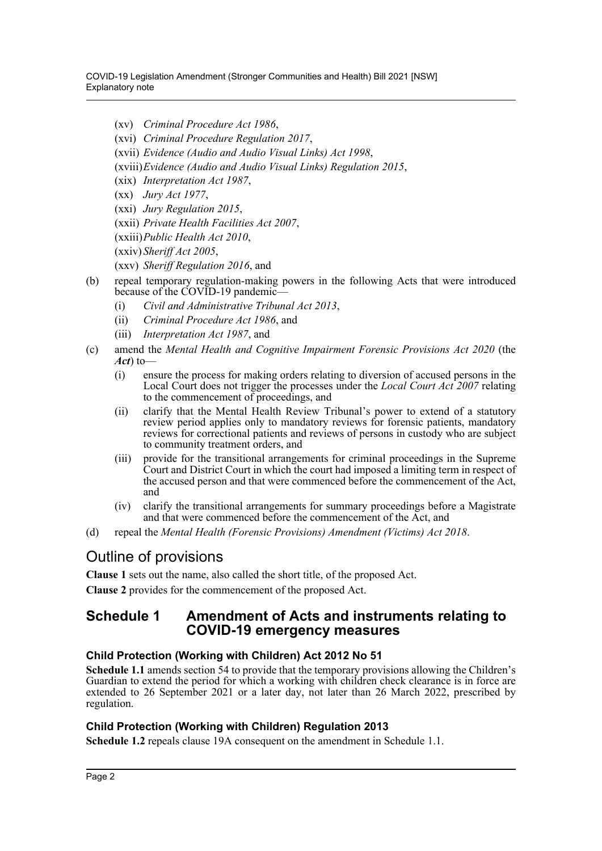- (xv) *Criminal Procedure Act 1986*,
- (xvi) *Criminal Procedure Regulation 2017*,
- (xvii) *Evidence (Audio and Audio Visual Links) Act 1998*,
- (xviii)*Evidence (Audio and Audio Visual Links) Regulation 2015*,
- (xix) *Interpretation Act 1987*,
- (xx) *Jury Act 1977*,
- (xxi) *Jury Regulation 2015*,
- (xxii) *Private Health Facilities Act 2007*,
- (xxiii)*Public Health Act 2010*,
- (xxiv) *Sheriff Act 2005*,
- (xxv) *Sheriff Regulation 2016*, and
- (b) repeal temporary regulation-making powers in the following Acts that were introduced because of the COVID-19 pandemic-
	- (i) *Civil and Administrative Tribunal Act 2013*,
	- (ii) *Criminal Procedure Act 1986*, and
	- (iii) *Interpretation Act 1987*, and
- (c) amend the *Mental Health and Cognitive Impairment Forensic Provisions Act 2020* (the *Act*) to—
	- (i) ensure the process for making orders relating to diversion of accused persons in the Local Court does not trigger the processes under the *Local Court Act 2007* relating to the commencement of proceedings, and
	- (ii) clarify that the Mental Health Review Tribunal's power to extend of a statutory review period applies only to mandatory reviews for forensic patients, mandatory reviews for correctional patients and reviews of persons in custody who are subject to community treatment orders, and
	- (iii) provide for the transitional arrangements for criminal proceedings in the Supreme Court and District Court in which the court had imposed a limiting term in respect of the accused person and that were commenced before the commencement of the Act, and
	- (iv) clarify the transitional arrangements for summary proceedings before a Magistrate and that were commenced before the commencement of the Act, and
- (d) repeal the *Mental Health (Forensic Provisions) Amendment (Victims) Act 2018*.

## Outline of provisions

**Clause 1** sets out the name, also called the short title, of the proposed Act.

**Clause 2** provides for the commencement of the proposed Act.

## **Schedule 1 Amendment of Acts and instruments relating to COVID-19 emergency measures**

#### **Child Protection (Working with Children) Act 2012 No 51**

**Schedule 1.1** amends section 54 to provide that the temporary provisions allowing the Children's Guardian to extend the period for which a working with children check clearance is in force are extended to 26 September 2021 or a later day, not later than 26 March 2022, prescribed by regulation.

#### **Child Protection (Working with Children) Regulation 2013**

**Schedule 1.2** repeals clause 19A consequent on the amendment in Schedule 1.1.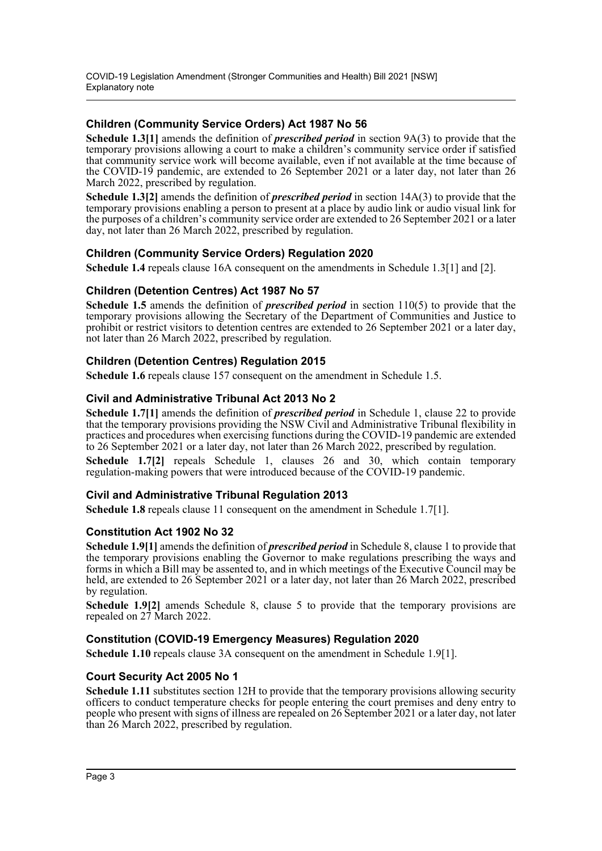#### **Children (Community Service Orders) Act 1987 No 56**

**Schedule 1.3[1]** amends the definition of *prescribed period* in section 9A(3) to provide that the temporary provisions allowing a court to make a children's community service order if satisfied that community service work will become available, even if not available at the time because of the COVID-19 pandemic, are extended to 26 September 2021 or a later day, not later than 26 March 2022, prescribed by regulation.

**Schedule 1.3[2]** amends the definition of *prescribed period* in section 14A(3) to provide that the temporary provisions enabling a person to present at a place by audio link or audio visual link for the purposes of a children's community service order are extended to 26 September 2021 or a later day, not later than 26 March 2022, prescribed by regulation.

#### **Children (Community Service Orders) Regulation 2020**

**Schedule 1.4** repeals clause 16A consequent on the amendments in Schedule 1.3[1] and [2].

#### **Children (Detention Centres) Act 1987 No 57**

**Schedule 1.5** amends the definition of *prescribed period* in section 110(5) to provide that the temporary provisions allowing the Secretary of the Department of Communities and Justice to prohibit or restrict visitors to detention centres are extended to 26 September 2021 or a later day, not later than 26 March 2022, prescribed by regulation.

#### **Children (Detention Centres) Regulation 2015**

**Schedule 1.6** repeals clause 157 consequent on the amendment in Schedule 1.5.

#### **Civil and Administrative Tribunal Act 2013 No 2**

**Schedule 1.7[1]** amends the definition of *prescribed period* in Schedule 1, clause 22 to provide that the temporary provisions providing the NSW Civil and Administrative Tribunal flexibility in practices and procedures when exercising functions during the COVID-19 pandemic are extended to 26 September 2021 or a later day, not later than 26 March 2022, prescribed by regulation.

**Schedule 1.7[2]** repeals Schedule 1, clauses 26 and 30, which contain temporary regulation-making powers that were introduced because of the COVID-19 pandemic.

#### **Civil and Administrative Tribunal Regulation 2013**

**Schedule 1.8** repeals clause 11 consequent on the amendment in Schedule 1.7[1].

#### **Constitution Act 1902 No 32**

**Schedule 1.9[1]** amends the definition of *prescribed period* in Schedule 8, clause 1 to provide that the temporary provisions enabling the Governor to make regulations prescribing the ways and forms in which a Bill may be assented to, and in which meetings of the Executive Council may be held, are extended to 26 September 2021 or a later day, not later than 26 March 2022, prescribed by regulation.

**Schedule 1.9[2]** amends Schedule 8, clause 5 to provide that the temporary provisions are repealed on 27 March 2022.

#### **Constitution (COVID-19 Emergency Measures) Regulation 2020**

**Schedule 1.10** repeals clause 3A consequent on the amendment in Schedule 1.9[1].

#### **Court Security Act 2005 No 1**

**Schedule 1.11** substitutes section 12H to provide that the temporary provisions allowing security officers to conduct temperature checks for people entering the court premises and deny entry to people who present with signs of illness are repealed on 26 September 2021 or a later day, not later than 26 March 2022, prescribed by regulation.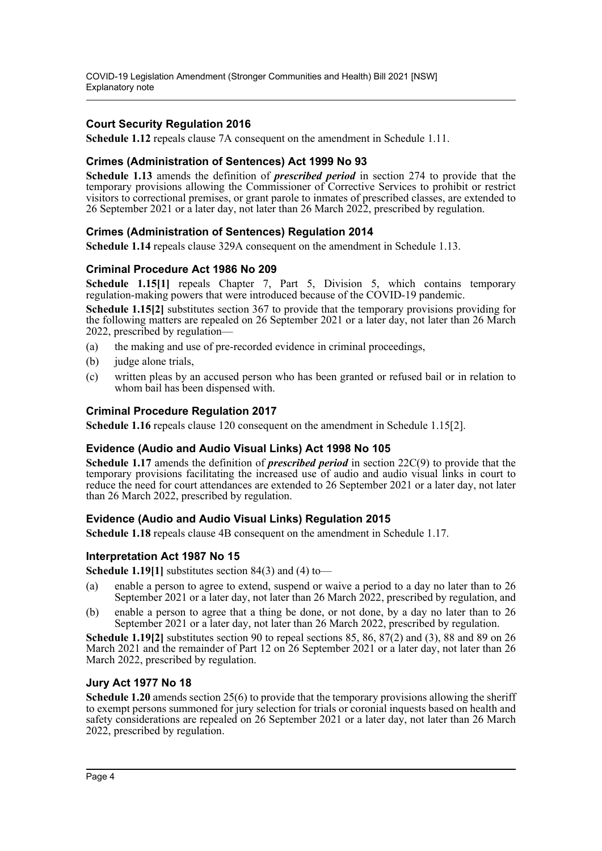COVID-19 Legislation Amendment (Stronger Communities and Health) Bill 2021 [NSW] Explanatory note

#### **Court Security Regulation 2016**

**Schedule 1.12** repeals clause 7A consequent on the amendment in Schedule 1.11.

#### **Crimes (Administration of Sentences) Act 1999 No 93**

**Schedule 1.13** amends the definition of *prescribed period* in section 274 to provide that the temporary provisions allowing the Commissioner of Corrective Services to prohibit or restrict visitors to correctional premises, or grant parole to inmates of prescribed classes, are extended to 26 September 2021 or a later day, not later than 26 March 2022, prescribed by regulation.

#### **Crimes (Administration of Sentences) Regulation 2014**

**Schedule 1.14** repeals clause 329A consequent on the amendment in Schedule 1.13.

#### **Criminal Procedure Act 1986 No 209**

**Schedule 1.15[1]** repeals Chapter 7, Part 5, Division 5, which contains temporary regulation-making powers that were introduced because of the COVID-19 pandemic.

**Schedule 1.15[2]** substitutes section 367 to provide that the temporary provisions providing for the following matters are repealed on 26 September 2021 or a later day, not later than 26 March 2022, prescribed by regulation—

- (a) the making and use of pre-recorded evidence in criminal proceedings,
- (b) judge alone trials,
- (c) written pleas by an accused person who has been granted or refused bail or in relation to whom bail has been dispensed with.

#### **Criminal Procedure Regulation 2017**

**Schedule 1.16** repeals clause 120 consequent on the amendment in Schedule 1.15[2].

#### **Evidence (Audio and Audio Visual Links) Act 1998 No 105**

**Schedule 1.17** amends the definition of *prescribed period* in section 22C(9) to provide that the temporary provisions facilitating the increased use of audio and audio visual links in court to reduce the need for court attendances are extended to 26 September 2021 or a later day, not later than 26 March 2022, prescribed by regulation.

#### **Evidence (Audio and Audio Visual Links) Regulation 2015**

**Schedule 1.18** repeals clause 4B consequent on the amendment in Schedule 1.17.

#### **Interpretation Act 1987 No 15**

**Schedule 1.19[1]** substitutes section 84(3) and (4) to—

- (a) enable a person to agree to extend, suspend or waive a period to a day no later than to 26 September 2021 or a later day, not later than 26 March 2022, prescribed by regulation, and
- (b) enable a person to agree that a thing be done, or not done, by a day no later than to 26 September 2021 or a later day, not later than 26 March 2022, prescribed by regulation.

**Schedule 1.19[2]** substitutes section 90 to repeal sections 85, 86, 87(2) and (3), 88 and 89 on 26 March 2021 and the remainder of Part 12 on 26 September 2021 or a later day, not later than 26 March 2022, prescribed by regulation.

#### **Jury Act 1977 No 18**

**Schedule 1.20** amends section 25(6) to provide that the temporary provisions allowing the sheriff to exempt persons summoned for jury selection for trials or coronial inquests based on health and safety considerations are repealed on 26 September 2021 or a later day, not later than 26 March 2022, prescribed by regulation.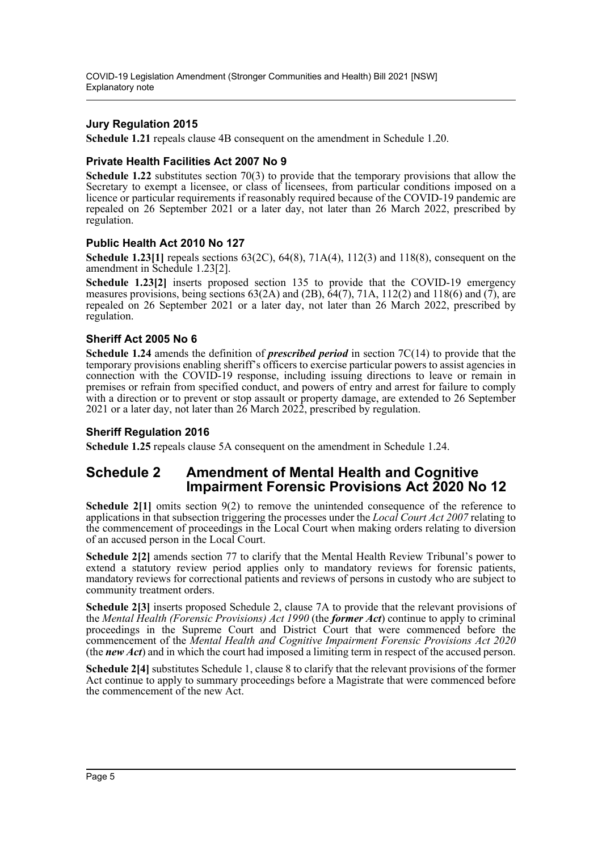#### **Jury Regulation 2015**

**Schedule 1.21** repeals clause 4B consequent on the amendment in Schedule 1.20.

#### **Private Health Facilities Act 2007 No 9**

**Schedule 1.22** substitutes section 70(3) to provide that the temporary provisions that allow the Secretary to exempt a licensee, or class of licensees, from particular conditions imposed on a licence or particular requirements if reasonably required because of the COVID-19 pandemic are repealed on 26 September 2021 or a later day, not later than 26 March 2022, prescribed by regulation.

#### **Public Health Act 2010 No 127**

**Schedule 1.23[1]** repeals sections 63(2C), 64(8), 71A(4), 112(3) and 118(8), consequent on the amendment in Schedule 1.23[2].

**Schedule 1.23[2]** inserts proposed section 135 to provide that the COVID-19 emergency measures provisions, being sections  $63(2A)$  and  $(2B)$ ,  $64(7)$ ,  $71A$ ,  $112(2)$  and  $118(6)$  and  $(7)$ , are repealed on 26 September 2021 or a later day, not later than 26 March 2022, prescribed by regulation.

#### **Sheriff Act 2005 No 6**

**Schedule 1.24** amends the definition of *prescribed period* in section 7C(14) to provide that the temporary provisions enabling sheriff's officers to exercise particular powers to assist agencies in connection with the COVID-19 response, including issuing directions to leave or remain in premises or refrain from specified conduct, and powers of entry and arrest for failure to comply with a direction or to prevent or stop assault or property damage, are extended to 26 September 2021 or a later day, not later than 26 March 2022, prescribed by regulation.

#### **Sheriff Regulation 2016**

**Schedule 1.25** repeals clause 5A consequent on the amendment in Schedule 1.24.

## **Schedule 2 Amendment of Mental Health and Cognitive Impairment Forensic Provisions Act 2020 No 12**

**Schedule 2[1]** omits section 9(2) to remove the unintended consequence of the reference to applications in that subsection triggering the processes under the *Local Court Act 2007* relating to the commencement of proceedings in the Local Court when making orders relating to diversion of an accused person in the Local Court.

**Schedule 2[2]** amends section 77 to clarify that the Mental Health Review Tribunal's power to extend a statutory review period applies only to mandatory reviews for forensic patients, mandatory reviews for correctional patients and reviews of persons in custody who are subject to community treatment orders.

**Schedule 2[3]** inserts proposed Schedule 2, clause 7A to provide that the relevant provisions of the *Mental Health (Forensic Provisions) Act 1990* (the *former Act*) continue to apply to criminal proceedings in the Supreme Court and District Court that were commenced before the commencement of the *Mental Health and Cognitive Impairment Forensic Provisions Act 2020* (the *new Act*) and in which the court had imposed a limiting term in respect of the accused person.

**Schedule 2[4]** substitutes Schedule 1, clause 8 to clarify that the relevant provisions of the former Act continue to apply to summary proceedings before a Magistrate that were commenced before the commencement of the new Act.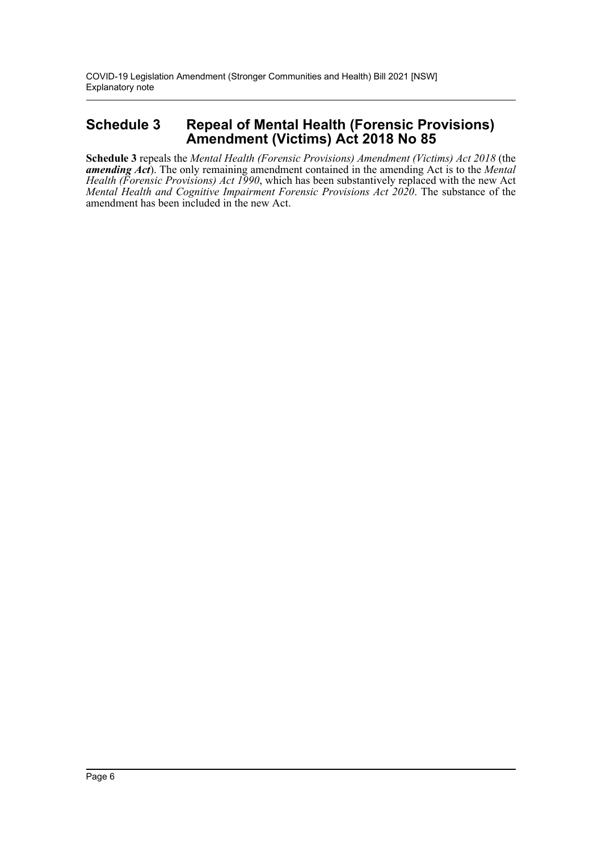## **Schedule 3 Repeal of Mental Health (Forensic Provisions) Amendment (Victims) Act 2018 No 85**

**Schedule 3** repeals the *Mental Health (Forensic Provisions) Amendment (Victims) Act 2018* (the *amending Act*). The only remaining amendment contained in the amending Act is to the *Mental Health (Forensic Provisions) Act 1990*, which has been substantively replaced with the new Act *Mental Health and Cognitive Impairment Forensic Provisions Act 2020*. The substance of the amendment has been included in the new Act.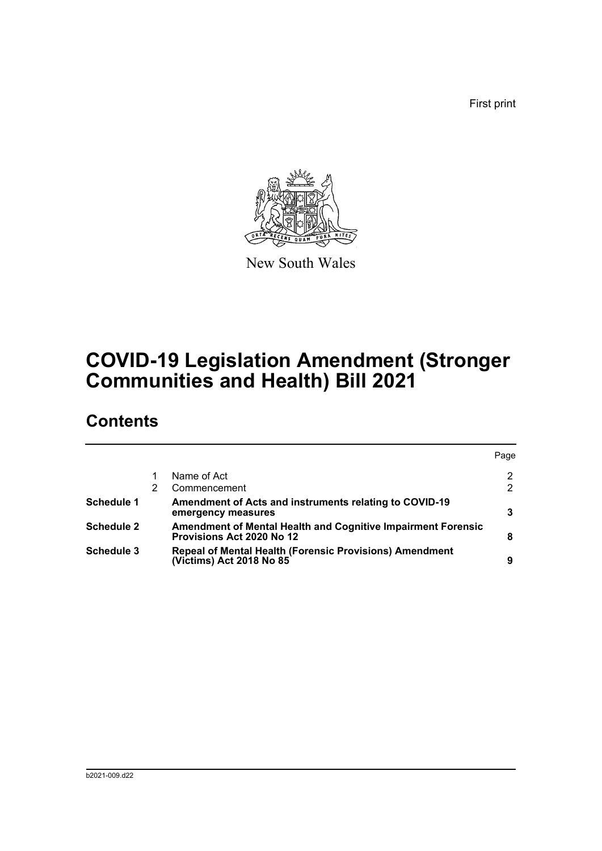First print



New South Wales

# **COVID-19 Legislation Amendment (Stronger Communities and Health) Bill 2021**

## **Contents**

|                                                                                                         | Page |
|---------------------------------------------------------------------------------------------------------|------|
| Name of Act                                                                                             | 2    |
| Commencement                                                                                            |      |
| Amendment of Acts and instruments relating to COVID-19<br>emergency measures                            | 3    |
| <b>Amendment of Mental Health and Cognitive Impairment Forensic</b><br><b>Provisions Act 2020 No 12</b> | 8    |
| Repeal of Mental Health (Forensic Provisions) Amendment<br>(Victims) Act 2018 No 85                     | 9    |
|                                                                                                         |      |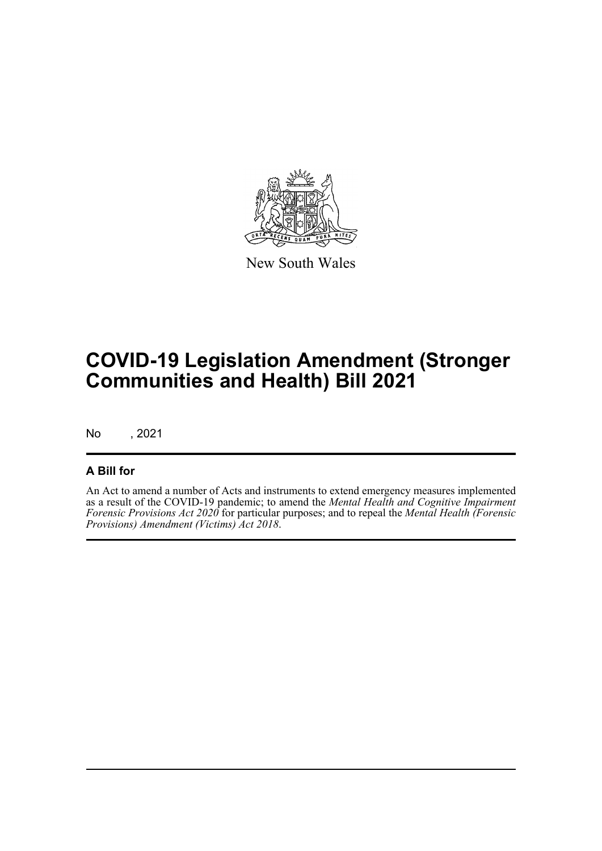

New South Wales

# **COVID-19 Legislation Amendment (Stronger Communities and Health) Bill 2021**

No , 2021

## **A Bill for**

An Act to amend a number of Acts and instruments to extend emergency measures implemented as a result of the COVID-19 pandemic; to amend the *Mental Health and Cognitive Impairment Forensic Provisions Act 2020* for particular purposes; and to repeal the *Mental Health (Forensic Provisions) Amendment (Victims) Act 2018*.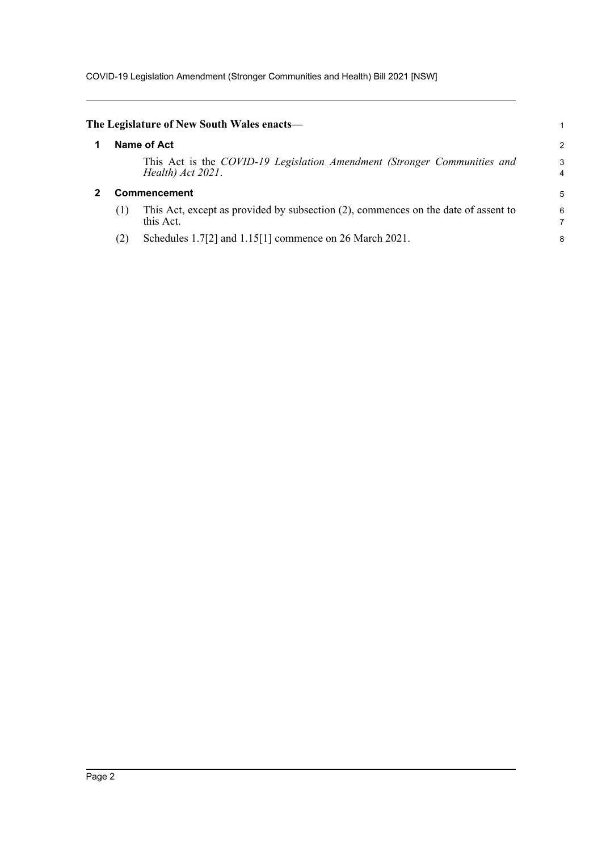COVID-19 Legislation Amendment (Stronger Communities and Health) Bill 2021 [NSW]

<span id="page-8-1"></span><span id="page-8-0"></span>

|     | The Legislature of New South Wales enacts—                                                      |        |
|-----|-------------------------------------------------------------------------------------------------|--------|
|     | Name of Act                                                                                     | 2      |
|     | This Act is the COVID-19 Legislation Amendment (Stronger Communities and<br>Health) Act 2021.   | 3<br>4 |
|     | Commencement                                                                                    | 5      |
| (1) | This Act, except as provided by subsection (2), commences on the date of assent to<br>this Act. | 6      |
|     |                                                                                                 |        |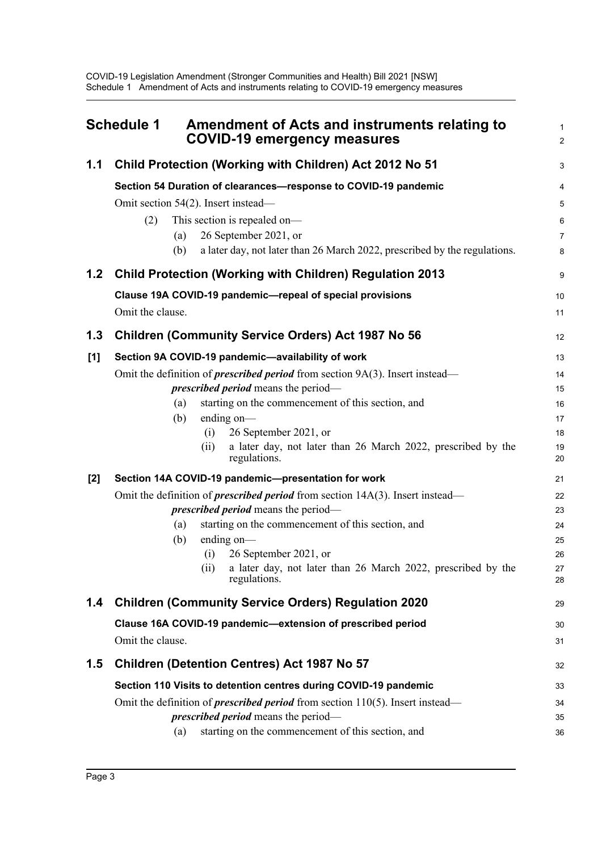<span id="page-9-0"></span>

|       | <b>Schedule 1</b><br><b>Amendment of Acts and instruments relating to</b><br><b>COVID-19 emergency measures</b> | $\mathbf{1}$<br>$\overline{2}$ |
|-------|-----------------------------------------------------------------------------------------------------------------|--------------------------------|
| 1.1   | Child Protection (Working with Children) Act 2012 No 51                                                         | 3                              |
|       | Section 54 Duration of clearances-response to COVID-19 pandemic                                                 | 4                              |
|       | Omit section 54(2). Insert instead-                                                                             | 5                              |
|       | This section is repealed on-<br>(2)                                                                             | 6                              |
|       | 26 September 2021, or<br>(a)                                                                                    | $\overline{7}$                 |
|       | (b)<br>a later day, not later than 26 March 2022, prescribed by the regulations.                                | 8                              |
| 1.2   | <b>Child Protection (Working with Children) Regulation 2013</b>                                                 | 9                              |
|       | Clause 19A COVID-19 pandemic-repeal of special provisions                                                       | 10                             |
|       | Omit the clause.                                                                                                | 11                             |
| 1.3   | <b>Children (Community Service Orders) Act 1987 No 56</b>                                                       | 12                             |
| [1]   | Section 9A COVID-19 pandemic-availability of work                                                               | 13                             |
|       | Omit the definition of <i>prescribed period</i> from section $9A(3)$ . Insert instead—                          | 14                             |
|       | <i>prescribed period</i> means the period-                                                                      | 15                             |
|       | starting on the commencement of this section, and<br>(a)                                                        | 16                             |
|       | ending on-<br>(b)                                                                                               | 17                             |
|       | 26 September 2021, or<br>(i)<br>a later day, not later than 26 March 2022, prescribed by the<br>(ii)            | 18<br>19                       |
|       | regulations.                                                                                                    | 20                             |
| $[2]$ | Section 14A COVID-19 pandemic-presentation for work                                                             | 21                             |
|       | Omit the definition of <i>prescribed period</i> from section $14A(3)$ . Insert instead—                         | 22                             |
|       | <i>prescribed period</i> means the period—                                                                      | 23                             |
|       | starting on the commencement of this section, and<br>(a)                                                        | 24                             |
|       | ending on-<br>(b)<br>26 September 2021, or<br>(i)                                                               | 25<br>26                       |
|       | a later day, not later than 26 March 2022, prescribed by the<br>(ii)                                            | 27                             |
|       | regulations.                                                                                                    | 28                             |
| 1.4   | <b>Children (Community Service Orders) Regulation 2020</b>                                                      | 29                             |
|       | Clause 16A COVID-19 pandemic-extension of prescribed period                                                     | 30                             |
|       | Omit the clause.                                                                                                | 31                             |
| 1.5   | <b>Children (Detention Centres) Act 1987 No 57</b>                                                              | 32                             |
|       | Section 110 Visits to detention centres during COVID-19 pandemic                                                | 33                             |
|       | Omit the definition of <i>prescribed period</i> from section $110(5)$ . Insert instead—                         | 34                             |
|       | <i>prescribed period</i> means the period—                                                                      | 35                             |
|       | starting on the commencement of this section, and<br>(a)                                                        | 36                             |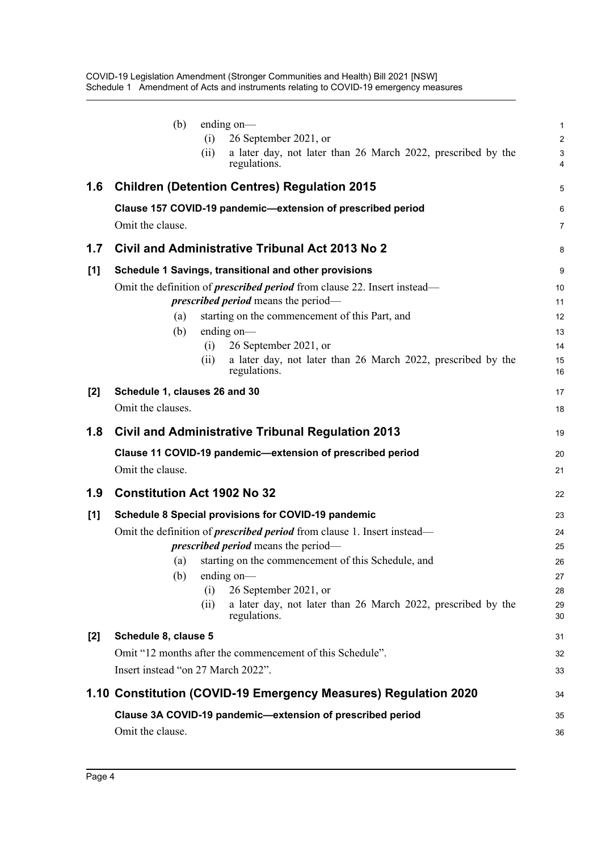|       | (b)<br>ending $on$ —<br>26 September 2021, or<br>(i)<br>a later day, not later than 26 March 2022, prescribed by the<br>(ii)  | $\mathbf 1$<br>$\overline{2}$<br>$\mathbf{3}$ |
|-------|-------------------------------------------------------------------------------------------------------------------------------|-----------------------------------------------|
|       | regulations.                                                                                                                  | 4                                             |
| 1.6   | <b>Children (Detention Centres) Regulation 2015</b>                                                                           | 5                                             |
|       | Clause 157 COVID-19 pandemic-extension of prescribed period<br>Omit the clause.                                               | $6\phantom{1}6$<br>$\overline{7}$             |
|       |                                                                                                                               |                                               |
| 1.7   | Civil and Administrative Tribunal Act 2013 No 2                                                                               | 8                                             |
| [1]   | Schedule 1 Savings, transitional and other provisions                                                                         | 9                                             |
|       | Omit the definition of <i>prescribed period</i> from clause 22. Insert instead—<br><i>prescribed period</i> means the period- | 10<br>11                                      |
|       | starting on the commencement of this Part, and<br>(a)                                                                         | 12                                            |
|       | (b)<br>ending on-                                                                                                             | 13                                            |
|       | 26 September 2021, or<br>(i)                                                                                                  | 14                                            |
|       | a later day, not later than 26 March 2022, prescribed by the<br>(ii)<br>regulations.                                          | 15<br>16                                      |
| $[2]$ | Schedule 1, clauses 26 and 30                                                                                                 | 17                                            |
|       | Omit the clauses.                                                                                                             | 18                                            |
| 1.8   | <b>Civil and Administrative Tribunal Regulation 2013</b>                                                                      | 19                                            |
|       | Clause 11 COVID-19 pandemic-extension of prescribed period                                                                    | 20                                            |
|       | Omit the clause.                                                                                                              | 21                                            |
| 1.9   | <b>Constitution Act 1902 No 32</b>                                                                                            | 22                                            |
| [1]   | Schedule 8 Special provisions for COVID-19 pandemic                                                                           | 23                                            |
|       | Omit the definition of <i>prescribed period</i> from clause 1. Insert instead—                                                | 24                                            |
|       | <i>prescribed period</i> means the period—                                                                                    | 25                                            |
|       | starting on the commencement of this Schedule, and<br>(a)                                                                     | 26                                            |
|       | (b)<br>ending on-<br>(i)<br>26 September 2021, or                                                                             | 27<br>28                                      |
|       | a later day, not later than 26 March 2022, prescribed by the<br>(ii)<br>regulations.                                          | 29<br>30                                      |
| $[2]$ | Schedule 8, clause 5                                                                                                          | 31                                            |
|       | Omit "12 months after the commencement of this Schedule".                                                                     | 32                                            |
|       | Insert instead "on 27 March 2022".                                                                                            | 33                                            |
|       | 1.10 Constitution (COVID-19 Emergency Measures) Regulation 2020                                                               | 34                                            |
|       | Clause 3A COVID-19 pandemic-extension of prescribed period                                                                    | 35                                            |
|       | Omit the clause.                                                                                                              | 36                                            |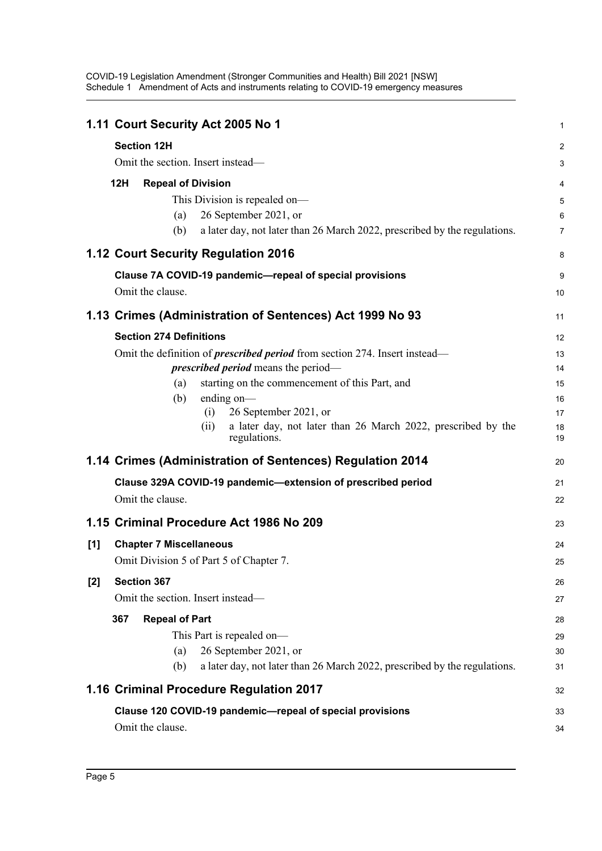| 1.11 Court Security Act 2005 No 1                                                   | $\mathbf 1$     |
|-------------------------------------------------------------------------------------|-----------------|
| <b>Section 12H</b>                                                                  | $\overline{2}$  |
| Omit the section. Insert instead—                                                   | 3               |
| 12H<br><b>Repeal of Division</b>                                                    | 4               |
| This Division is repealed on-                                                       | 5               |
| 26 September 2021, or<br>(a)                                                        | $6\phantom{1}6$ |
| a later day, not later than 26 March 2022, prescribed by the regulations.<br>(b)    | $\overline{7}$  |
| 1.12 Court Security Regulation 2016                                                 | 8               |
| Clause 7A COVID-19 pandemic-repeal of special provisions                            | 9               |
| Omit the clause.                                                                    | 10              |
| 1.13 Crimes (Administration of Sentences) Act 1999 No 93                            | 11              |
| <b>Section 274 Definitions</b>                                                      | 12              |
| Omit the definition of <i>prescribed period</i> from section 274. Insert instead—   | 13              |
| <i>prescribed period</i> means the period—                                          | 14              |
| starting on the commencement of this Part, and<br>(a)                               | 15              |
| ending on-<br>(b)                                                                   | 16              |
| 26 September 2021, or<br>(i)                                                        | 17              |
| a later day, not later than 26 March 2022, prescribed by the<br>(i)<br>regulations. | 18<br>19        |
| 1.14 Crimes (Administration of Sentences) Regulation 2014                           | 20              |
| Clause 329A COVID-19 pandemic-extension of prescribed period                        | 21              |
| Omit the clause.                                                                    | 22              |
| 1.15 Criminal Procedure Act 1986 No 209                                             | 23              |
| <b>Chapter 7 Miscellaneous</b><br>[1]                                               | 24              |
| Omit Division 5 of Part 5 of Chapter 7.                                             | 25              |
| Section 367<br>$[2]$                                                                | 26              |
| Omit the section. Insert instead-                                                   | 27              |
| <b>Repeal of Part</b><br>367                                                        | 28              |
| This Part is repealed on-                                                           | 29              |
| 26 September 2021, or<br>(a)                                                        | 30              |
| a later day, not later than 26 March 2022, prescribed by the regulations.<br>(b)    | 31              |
| 1.16 Criminal Procedure Regulation 2017                                             | 32              |
| Clause 120 COVID-19 pandemic-repeal of special provisions                           | 33              |
| Omit the clause.                                                                    | 34              |
|                                                                                     |                 |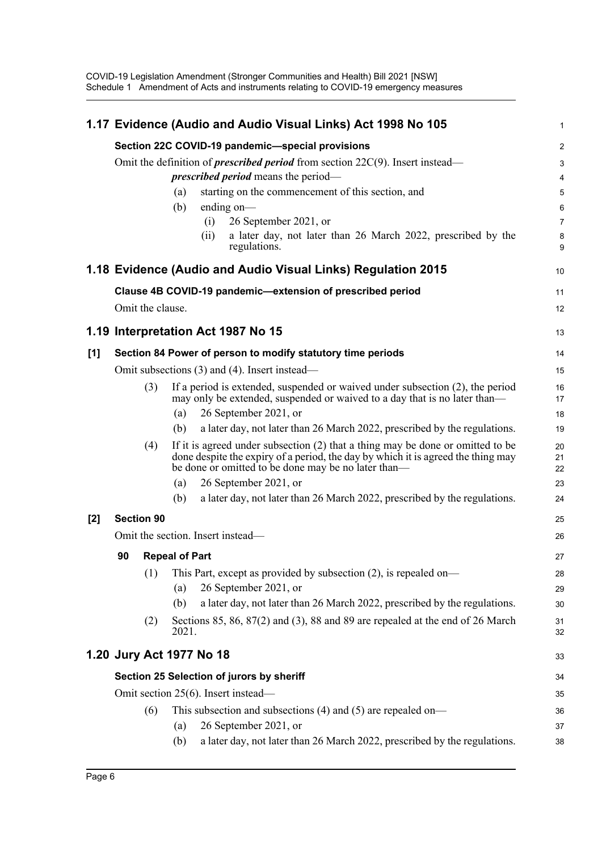|       |                                           |                   |                       | 1.17 Evidence (Audio and Audio Visual Links) Act 1998 No 105                                                                                                                                                                | 1              |  |  |
|-------|-------------------------------------------|-------------------|-----------------------|-----------------------------------------------------------------------------------------------------------------------------------------------------------------------------------------------------------------------------|----------------|--|--|
|       |                                           |                   |                       | Section 22C COVID-19 pandemic-special provisions                                                                                                                                                                            | $\overline{2}$ |  |  |
|       |                                           |                   |                       | Omit the definition of <i>prescribed period</i> from section $22C(9)$ . Insert instead—                                                                                                                                     | 3              |  |  |
|       |                                           |                   |                       | <i>prescribed period</i> means the period—                                                                                                                                                                                  | $\overline{4}$ |  |  |
|       |                                           |                   | (a)                   | starting on the commencement of this section, and                                                                                                                                                                           | 5              |  |  |
|       |                                           |                   | (b)                   | ending on $-$                                                                                                                                                                                                               | 6              |  |  |
|       |                                           |                   |                       | 26 September 2021, or<br>(i)<br>a later day, not later than 26 March 2022, prescribed by the                                                                                                                                | $\overline{7}$ |  |  |
|       |                                           |                   |                       | (ii)<br>regulations.                                                                                                                                                                                                        | 8<br>9         |  |  |
|       |                                           |                   |                       | 1.18 Evidence (Audio and Audio Visual Links) Regulation 2015                                                                                                                                                                | 10             |  |  |
|       |                                           |                   |                       | Clause 4B COVID-19 pandemic-extension of prescribed period                                                                                                                                                                  | 11             |  |  |
|       |                                           | Omit the clause.  |                       |                                                                                                                                                                                                                             | 12             |  |  |
|       |                                           |                   |                       | 1.19 Interpretation Act 1987 No 15                                                                                                                                                                                          | 13             |  |  |
|       |                                           |                   |                       |                                                                                                                                                                                                                             |                |  |  |
| [1]   |                                           |                   |                       | Section 84 Power of person to modify statutory time periods                                                                                                                                                                 | 14             |  |  |
|       |                                           |                   |                       | Omit subsections (3) and (4). Insert instead—                                                                                                                                                                               | 15             |  |  |
|       |                                           | (3)               |                       | If a period is extended, suspended or waived under subsection (2), the period<br>may only be extended, suspended or waived to a day that is no later than—                                                                  | 16<br>17       |  |  |
|       |                                           |                   | (a)                   | 26 September 2021, or                                                                                                                                                                                                       | 18             |  |  |
|       |                                           |                   | (b)                   | a later day, not later than 26 March 2022, prescribed by the regulations.                                                                                                                                                   | 19             |  |  |
|       |                                           | (4)               |                       | If it is agreed under subsection $(2)$ that a thing may be done or omitted to be<br>done despite the expiry of a period, the day by which it is agreed the thing may<br>be done or omitted to be done may be no later than- | 20<br>21<br>22 |  |  |
|       |                                           |                   | (a)                   | 26 September 2021, or                                                                                                                                                                                                       | 23             |  |  |
|       |                                           |                   | (b)                   | a later day, not later than 26 March 2022, prescribed by the regulations.                                                                                                                                                   | 24             |  |  |
| $[2]$ |                                           | <b>Section 90</b> |                       |                                                                                                                                                                                                                             | 25             |  |  |
|       | Omit the section. Insert instead—         |                   |                       |                                                                                                                                                                                                                             |                |  |  |
|       | 90                                        |                   | <b>Repeal of Part</b> |                                                                                                                                                                                                                             | 27             |  |  |
|       |                                           | (1)               |                       | This Part, except as provided by subsection $(2)$ , is repealed on-                                                                                                                                                         | 28             |  |  |
|       |                                           |                   | (a)                   | 26 September 2021, or                                                                                                                                                                                                       | 29             |  |  |
|       |                                           |                   | (b)                   | a later day, not later than 26 March 2022, prescribed by the regulations.                                                                                                                                                   | 30             |  |  |
|       |                                           | (2)               | 2021.                 | Sections 85, 86, 87(2) and (3), 88 and 89 are repealed at the end of 26 March                                                                                                                                               | 31<br>32       |  |  |
|       | 1.20 Jury Act 1977 No 18                  |                   |                       |                                                                                                                                                                                                                             |                |  |  |
|       | Section 25 Selection of jurors by sheriff |                   |                       |                                                                                                                                                                                                                             |                |  |  |
|       | Omit section 25(6). Insert instead—       |                   |                       |                                                                                                                                                                                                                             |                |  |  |
|       |                                           | (6)               |                       | This subsection and subsections $(4)$ and $(5)$ are repealed on—                                                                                                                                                            | 36             |  |  |
|       |                                           |                   | (a)                   | 26 September 2021, or                                                                                                                                                                                                       | 37             |  |  |
|       |                                           |                   | (b)                   | a later day, not later than 26 March 2022, prescribed by the regulations.                                                                                                                                                   | 38             |  |  |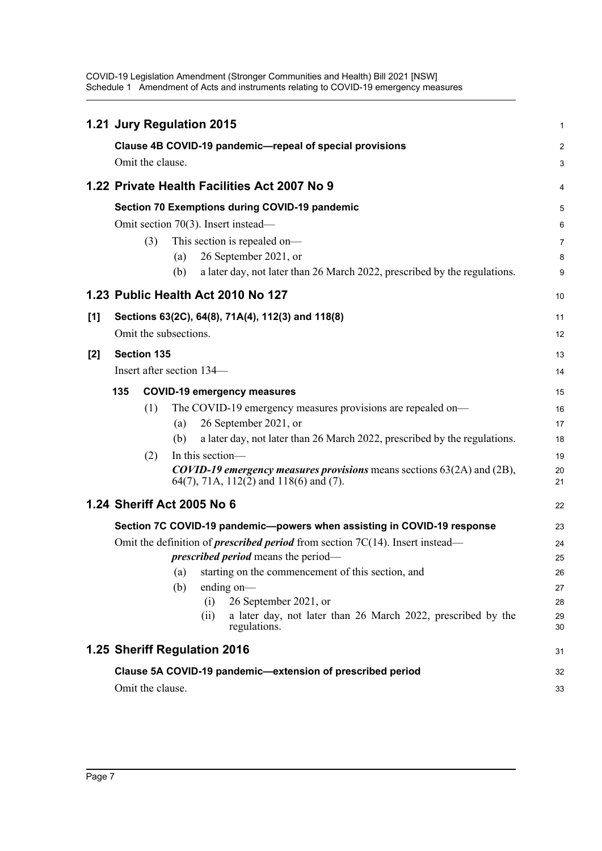|       |                                                                                         |                       |     | 1.21 Jury Regulation 2015                                                                                                                   | 1              |  |  |  |
|-------|-----------------------------------------------------------------------------------------|-----------------------|-----|---------------------------------------------------------------------------------------------------------------------------------------------|----------------|--|--|--|
|       |                                                                                         |                       |     | Clause 4B COVID-19 pandemic-repeal of special provisions                                                                                    | $\overline{c}$ |  |  |  |
|       |                                                                                         | Omit the clause.      |     |                                                                                                                                             | 3              |  |  |  |
|       |                                                                                         |                       |     | 1.22 Private Health Facilities Act 2007 No 9                                                                                                | 4              |  |  |  |
|       | <b>Section 70 Exemptions during COVID-19 pandemic</b>                                   |                       |     |                                                                                                                                             |                |  |  |  |
|       |                                                                                         |                       |     | Omit section 70(3). Insert instead—                                                                                                         | 6              |  |  |  |
|       |                                                                                         | (3)                   |     | This section is repealed on-                                                                                                                | 7              |  |  |  |
|       |                                                                                         |                       | (a) | 26 September 2021, or                                                                                                                       | 8              |  |  |  |
|       |                                                                                         |                       | (b) | a later day, not later than 26 March 2022, prescribed by the regulations.                                                                   | 9              |  |  |  |
|       |                                                                                         |                       |     | 1.23 Public Health Act 2010 No 127                                                                                                          | 10             |  |  |  |
| [1]   |                                                                                         |                       |     | Sections 63(2C), 64(8), 71A(4), 112(3) and 118(8)                                                                                           | 11             |  |  |  |
|       |                                                                                         | Omit the subsections. |     |                                                                                                                                             | 12             |  |  |  |
| $[2]$ |                                                                                         | <b>Section 135</b>    |     |                                                                                                                                             | 13             |  |  |  |
|       |                                                                                         |                       |     | Insert after section 134—                                                                                                                   | 14             |  |  |  |
|       | 135                                                                                     |                       |     | <b>COVID-19 emergency measures</b>                                                                                                          | 15             |  |  |  |
|       |                                                                                         | (1)                   |     | The COVID-19 emergency measures provisions are repealed on-                                                                                 | 16             |  |  |  |
|       |                                                                                         |                       | (a) | 26 September 2021, or                                                                                                                       | 17             |  |  |  |
|       |                                                                                         |                       | (b) | a later day, not later than 26 March 2022, prescribed by the regulations.                                                                   | 18             |  |  |  |
|       |                                                                                         | (2)                   |     | In this section-                                                                                                                            | 19             |  |  |  |
|       |                                                                                         |                       |     | <b>COVID-19</b> emergency measures provisions means sections $63(2A)$ and $(2B)$ ,<br>64(7), 71A, $112(\overline{2})$ and $118(6)$ and (7). | 20<br>21       |  |  |  |
|       |                                                                                         |                       |     | 1.24 Sheriff Act 2005 No 6                                                                                                                  | 22             |  |  |  |
|       |                                                                                         |                       |     | Section 7C COVID-19 pandemic--powers when assisting in COVID-19 response                                                                    | 23             |  |  |  |
|       | Omit the definition of <i>prescribed period</i> from section $7C(14)$ . Insert instead— |                       |     |                                                                                                                                             |                |  |  |  |
|       |                                                                                         |                       |     | <i>prescribed period</i> means the period—                                                                                                  | 25             |  |  |  |
|       |                                                                                         |                       | (a) | starting on the commencement of this section, and                                                                                           | 26             |  |  |  |
|       |                                                                                         |                       | (b) | ending on-                                                                                                                                  | 27             |  |  |  |
|       |                                                                                         |                       |     | 26 September 2021, or<br>(i)                                                                                                                | 28             |  |  |  |
|       |                                                                                         |                       |     | a later day, not later than 26 March 2022, prescribed by the<br>(ii)<br>regulations.                                                        | 29<br>30       |  |  |  |
|       |                                                                                         |                       |     | 1.25 Sheriff Regulation 2016                                                                                                                | 31             |  |  |  |
|       |                                                                                         |                       |     | Clause 5A COVID-19 pandemic-extension of prescribed period                                                                                  | 32             |  |  |  |
|       |                                                                                         | Omit the clause.      |     |                                                                                                                                             | 33             |  |  |  |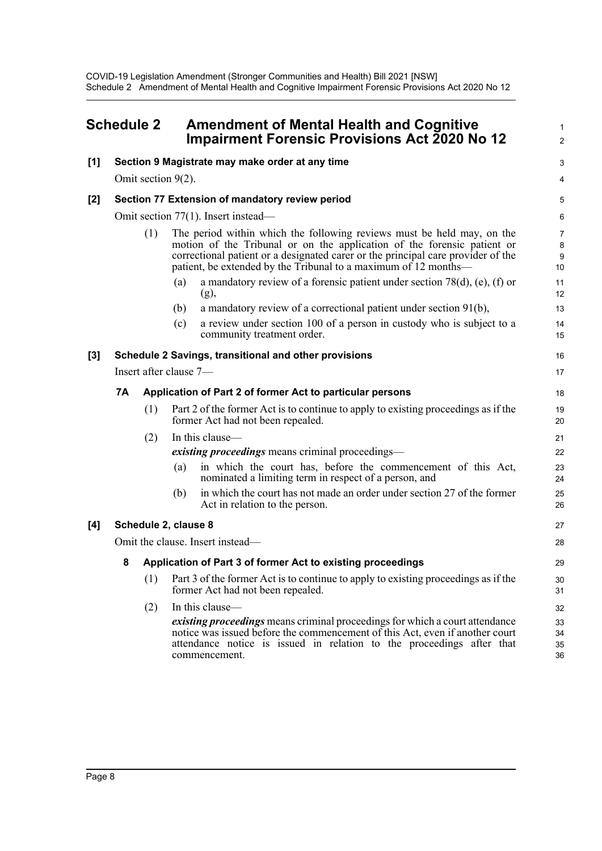<span id="page-14-0"></span>

| <b>Schedule 2</b> |                                                                  |                                     | <b>Amendment of Mental Health and Cognitive</b><br><b>Impairment Forensic Provisions Act 2020 No 12</b>                                                                                                                                                                                                  |                                |  |  |  |
|-------------------|------------------------------------------------------------------|-------------------------------------|----------------------------------------------------------------------------------------------------------------------------------------------------------------------------------------------------------------------------------------------------------------------------------------------------------|--------------------------------|--|--|--|
| [1]               | Section 9 Magistrate may make order at any time                  |                                     |                                                                                                                                                                                                                                                                                                          |                                |  |  |  |
|                   |                                                                  |                                     | Omit section $9(2)$ .                                                                                                                                                                                                                                                                                    | 4                              |  |  |  |
| [2]               |                                                                  |                                     | Section 77 Extension of mandatory review period                                                                                                                                                                                                                                                          | 5                              |  |  |  |
|                   |                                                                  | Omit section 77(1). Insert instead— |                                                                                                                                                                                                                                                                                                          |                                |  |  |  |
|                   |                                                                  | (1)                                 | The period within which the following reviews must be held may, on the<br>motion of the Tribunal or on the application of the forensic patient or<br>correctional patient or a designated carer or the principal care provider of the<br>patient, be extended by the Tribunal to a maximum of 12 months— | $\overline{7}$<br>8<br>9<br>10 |  |  |  |
|                   |                                                                  |                                     | a mandatory review of a forensic patient under section $78(d)$ , (e), (f) or<br>(a)<br>(g),                                                                                                                                                                                                              | 11<br>12                       |  |  |  |
|                   |                                                                  |                                     | a mandatory review of a correctional patient under section $91(b)$ ,<br>(b)                                                                                                                                                                                                                              | 13                             |  |  |  |
|                   |                                                                  |                                     | a review under section 100 of a person in custody who is subject to a<br>(c)<br>community treatment order.                                                                                                                                                                                               | 14<br>15                       |  |  |  |
| [3]               | Schedule 2 Savings, transitional and other provisions            |                                     |                                                                                                                                                                                                                                                                                                          |                                |  |  |  |
|                   | Insert after clause 7-                                           |                                     |                                                                                                                                                                                                                                                                                                          |                                |  |  |  |
|                   | 7A<br>Application of Part 2 of former Act to particular persons  |                                     |                                                                                                                                                                                                                                                                                                          |                                |  |  |  |
|                   |                                                                  | (1)                                 | Part 2 of the former Act is to continue to apply to existing proceedings as if the<br>former Act had not been repealed.                                                                                                                                                                                  | 19<br>20                       |  |  |  |
|                   |                                                                  | (2)                                 | In this clause—                                                                                                                                                                                                                                                                                          | 21                             |  |  |  |
|                   |                                                                  |                                     | <i>existing proceedings</i> means criminal proceedings—                                                                                                                                                                                                                                                  | 22                             |  |  |  |
|                   |                                                                  |                                     | in which the court has, before the commencement of this Act,<br>(a)<br>nominated a limiting term in respect of a person, and                                                                                                                                                                             | 23<br>24                       |  |  |  |
|                   |                                                                  |                                     | in which the court has not made an order under section 27 of the former<br>(b)<br>Act in relation to the person.                                                                                                                                                                                         | 25<br>26                       |  |  |  |
| [4]               | Schedule 2, clause 8                                             |                                     |                                                                                                                                                                                                                                                                                                          |                                |  |  |  |
|                   | Omit the clause. Insert instead-                                 |                                     |                                                                                                                                                                                                                                                                                                          |                                |  |  |  |
|                   | Application of Part 3 of former Act to existing proceedings<br>8 |                                     |                                                                                                                                                                                                                                                                                                          | 29                             |  |  |  |
|                   |                                                                  | (1)                                 | Part 3 of the former Act is to continue to apply to existing proceedings as if the<br>former Act had not been repealed.                                                                                                                                                                                  | 30<br>31                       |  |  |  |
|                   |                                                                  | (2)                                 | In this clause—                                                                                                                                                                                                                                                                                          | 32                             |  |  |  |
|                   |                                                                  |                                     | existing proceedings means criminal proceedings for which a court attendance<br>notice was issued before the commencement of this Act, even if another court<br>attendance notice is issued in relation to the proceedings after that<br>commencement.                                                   | 33<br>34<br>35<br>36           |  |  |  |